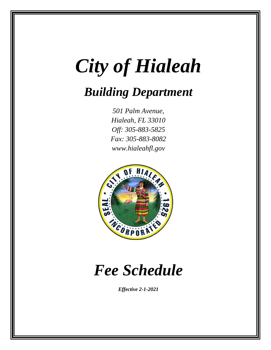# *City of Hialeah*

# *Building Department*

*501 Palm Avenue, Hialeah, FL 33010 Off: 305-883-5825 Fax: 305-883-8082 www.hialeahfl.gov*



# *Fee Schedule*

*Effective 2-1-2021*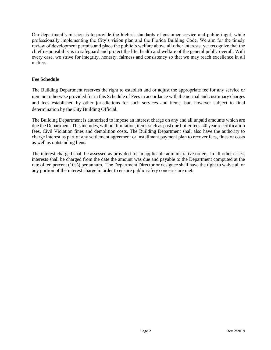Our department's mission is to provide the highest standards of customer service and public input, while professionally implementing the City's vision plan and the Florida Building Code. We aim for the timely review of development permits and place the public's welfare above all other interests, yet recognize that the chief responsibility is to safeguard and protect the life, health and welfare of the general public overall. With every case, we strive for integrity, honesty, fairness and consistency so that we may reach excellence in all matters.

#### **Fee Schedule**

The Building Department reserves the right to establish and or adjust the appropriate fee for any service or item not otherwise provided for in this Schedule of Fees in accordance with the normal and customary charges and fees established by other jurisdictions for such services and items, but, however subject to final determination by the City Building Official.

The Building Department is authorized to impose an interest charge on any and all unpaid amounts which are due the Department. This includes, without limitation, items such as past due boiler fees, 40 year recertification fees, Civil Violation fines and demolition costs. The Building Department shall also have the authority to charge interest as part of any settlement agreement or installment payment plan to recover fees, fines or costs as well as outstanding liens.

The interest charged shall be assessed as provided for in applicable administrative orders. In all other cases, interests shall be charged from the date the amount was due and payable to the Department computed at the rate of ten percent (10%) per annum. The Department Director or designee shall have the right to waive all or any portion of the interest charge in order to ensure public safety concerns are met.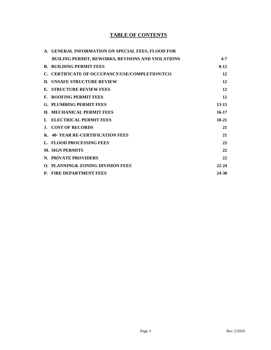# **TABLE OF CONTENTS**

| A. GENERAL INFORMATION ON SPECIAL FEES, FLOOD FOR       |           |
|---------------------------------------------------------|-----------|
| <b>BUILING PERMIT, REWORKS, REVISONS AND VIOLATIONS</b> | $4 - 7$   |
| <b>B. BUILDING PERMIT FEES</b>                          | $8-12$    |
| C. CERTIFICATE OF OCCUPANCY/USE/COMPLETION/TCO          | 12        |
| <b>D. UNSAFE STRUCTURE REVIEW</b>                       | 12        |
| E. STRUCTURE REVIEW FEES                                | 12        |
| <b>F. ROOFING PERMIT FEES</b>                           | 12        |
| <b>G. PLUMBING PERMIT FEES</b>                          | $13 - 15$ |
| H. MECHANICAL PERMIT FEES                               | $16 - 17$ |
| I. ELECTRICAL PERMIT FEES                               | $18-21$   |
| <b>J. COST OF RECORDS</b>                               | 21        |
| K. 40- YEAR RE-CERTIFICATION FEES                       | 21        |
| L. FLOOD PROCESSING FEES                                | 22        |
| <b>M. SIGN PERMITS</b>                                  | 22        |
| N. PRIVATE PROVIDERS                                    | 22        |
| <b>O. PLANNING&amp; ZONING DIVISION FEES</b>            | $22 - 24$ |
| P. FIRE DEPARTMENT FEES                                 | 24-30     |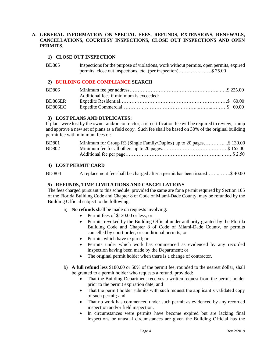#### **A. GENERAL INFORMATION ON SPECIAL FEES, REFUNDS, EXTENSIONS, RENEWALS, CANCELLATIONS, COURTESY INSPECTIONS, CLOSE OUT INSPECTIONS AND OPEN PERMITS.**

#### **1) CLOSE OUT INSPECTION**

| <b>BD805</b> | Inspections for the purpose of violations, work without permits, open permits, expired |
|--------------|----------------------------------------------------------------------------------------|
|              | permits, close out inspections, etc. (per inspection)\$ 75.00                          |

#### **2) BUILDING CODE COMPLIANCE SEARCH**

| BD806   |                                         |  |
|---------|-----------------------------------------|--|
|         | Additional fees if minimum is exceeded: |  |
| BD806ER |                                         |  |
| BD806EC |                                         |  |

#### **3) LOST PLANS AND DUPLICATES:**

If plans were lost by the owner and/or contractor, a re-certification fee will be required to review, stamp and approve a new set of plans as a field copy. Such fee shall be based on 30% of the original building permit fee with minimum fees of:

| <b>BD801</b> | Minimum for Group R3 (Single Family/Duplex) up to 20 pages\$ 130.00 |  |
|--------------|---------------------------------------------------------------------|--|
| <b>BD802</b> |                                                                     |  |
|              |                                                                     |  |

#### **4) LOST PERMIT CARD**

BD 804 A replacement fee shall be charged after a permit has been issued……..…….\$ 40.00

#### **5) REFUNDS, TIME LIMITATIONS AND CANCELLATIONS**

The fees charged pursuant to this schedule, provided the same are for a permit required by Section 105 of the Florida Building Code and Chapter 8 of Code of Miami-Dade County, may be refunded by the Building Official subject to the following:

- a) **No refunds** shall be made on requests involving:
	- Permit fees of \$130.00 or less; or
	- Permits revoked by the Building Official under authority granted by the Florida Building Code and Chapter 8 of Code of Miami-Dade County, or permits cancelled by court order, or conditional permits; or
	- Permits which have expired; or
	- Permits under which work has commenced as evidenced by any recorded inspection having been made by the Department; or
	- The original permit holder when there is a change of contractor.
- b) **A full refund** less \$180.00 or 50% of the permit fee, rounded to the nearest dollar, shall be granted to a permit holder who requests a refund, provided:
	- That the Building Department receives a written request from the permit holder prior to the permit expiration date; and
	- That the permit holder submits with such request the applicant's validated copy of such permit; and
	- That no work has commenced under such permit as evidenced by any recorded inspection and/or field inspection.
	- In circumstances were permits have become expired but are lacking final inspections or unusual circumstances are given the Building Official has the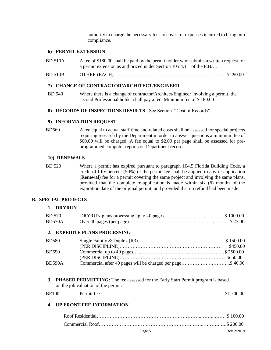authority to charge the necessary fees to cover for expenses incurred to bring into compliance.

#### **6) PERMIT EXTENSION**

- BD 510A A fee of \$180.00 shall be paid by the permit holder who submits a written request for a permit extension as authorized under Section 105.4.1.1 of the F.B.C.
- BD 510B OTHER (EACH)………………………………………….………………... \$ 290.00

#### **7) CHANGE OF CONTRACTOR/ARCHITECT/ENGINEER**

- BD 540 Where there is a change of contractor/Architect/Engineer involving a permit, the second Professional holder shall pay a fee. Minimum fee of \$ 180.00
- **8) RECORDS OF INSPECTIONS RESULTS**: See Section "Cost of Records"

#### **9) INFORMATION REQUEST**

BD560 A fee equal to actual staff time and related costs shall be assessed for special projects requiring research by the Department in order to answer questions a minimum fee of \$60.00 will be charged. A fee equal to \$2.00 per page shall be assessed for preprogrammed computer reports on Department records.

#### **10) RENEWALS**

BD 520 Where a permit has expired pursuant to paragraph 104.5 Florida Building Code, a credit of fifty percent (50%) of the permit fee shall be applied to any re-application (**Renewal**) fee for a permit covering the same project and involving the same plans, provided that the complete re-application is made within six (6) months of the expiration date of the original permit, and provided that no refund had been made.

#### **B. SPECIAL PROJECTS**

#### **1. DRYRUN**

| <b>BD</b> 570 |  |
|---------------|--|
| BD570A        |  |

#### **2. EXPEDITE PLANS PROCESSING**

| <b>BD580</b>  |                                                            |  |
|---------------|------------------------------------------------------------|--|
|               |                                                            |  |
| <b>BD590</b>  |                                                            |  |
|               |                                                            |  |
| <b>BD590A</b> | Commercial after 40 pages will be charged per page\$ 40.00 |  |

**3. PHASED PERMITTING:** The fee assessed for the Early Start Permit program is based on the job valuation of the permit.

| <b>BE100</b> |  |  |
|--------------|--|--|
|--------------|--|--|

#### **4. UP FRONT FEE INFORMATION**

| Page 5 | Rev 2/2019 |
|--------|------------|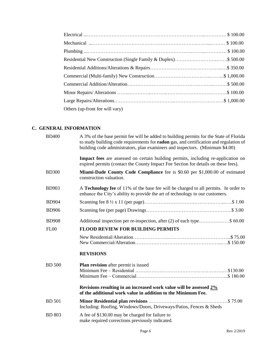| Others (up-front fee will vary) |  |
|---------------------------------|--|

# **C. GENERAL INFORMATION**

| <b>BD400</b>  | A 3% of the base permit fee will be added to building permits for the State of Florida<br>to study building code requirements for radon gas, and certification and regulation of<br>building code administrators, plan examiners and inspectors. (Minimum \$4.00) |
|---------------|-------------------------------------------------------------------------------------------------------------------------------------------------------------------------------------------------------------------------------------------------------------------|
|               | <b>Impact fees</b> are assessed on certain building permits, including re-application on<br>expired permits (contact the County Impact Fee Section for details on these fees).                                                                                    |
| <b>BD300</b>  | Miami-Dade County Code Compliance fee is \$0.60 per \$1,000.00 of estimated<br>construction valuation.                                                                                                                                                            |
| <b>BD903</b>  | A Technology fee of 11% of the base fee will be charged to all permits. In order to<br>enhance the City's ability to provide the art of technology to our customers.                                                                                              |
| <b>BD904</b>  |                                                                                                                                                                                                                                                                   |
| <b>BD906</b>  |                                                                                                                                                                                                                                                                   |
| <b>BD908</b>  | Additional inspection per re-inspection, after (2) of each type\$ 60.00                                                                                                                                                                                           |
| FL00          | <b>FLOOD REVIEW FOR BUILDING PERMITS</b>                                                                                                                                                                                                                          |
|               |                                                                                                                                                                                                                                                                   |
|               | <b>REVISIONS</b>                                                                                                                                                                                                                                                  |
| <b>BD</b> 500 | <b>Plan revision</b> after permit is issued                                                                                                                                                                                                                       |
|               | Revisions resulting in an increased work value will be assessed 2%<br>of the additional work value in addition to the Minimum Fee.                                                                                                                                |
| <b>BD</b> 501 | Including: Roofing, Windows/Doors, Driveways/Patios, Fences & Sheds                                                                                                                                                                                               |
| <b>BD 803</b> | A fee of \$130.00 may be charged for failure to<br>make required corrections previously indicated.                                                                                                                                                                |
|               |                                                                                                                                                                                                                                                                   |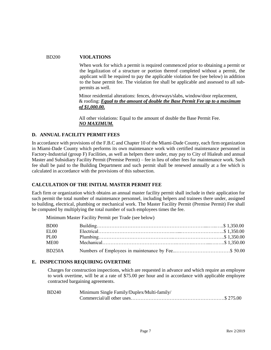#### BD200 **VIOLATIONS**

 When work for which a permit is required commenced prior to obtaining a permit or the legalization of a structure or portion thereof completed without a permit, the applicant will be required to pay the applicable violation fee (see below) in addition to the base permit fee. The violation fee shall be applicable and assessed to all subpermits as well.

 Minor residential alterations: fences, driveways/slabs, window/door replacement, & roofing: *Equal to the amount of double the Base Permit Fee up to a maximum of \$1,000.00.*

 All other violations: Equal to the amount of double the Base Permit Fee. *NO MAXIMUM.*

#### **D. ANNUAL FACILITY PERMIT FEES**

In accordance with provisions of the F.B.C and Chapter 10 of the Miami-Dade County, each firm organization in Miami-Dade County which performs its own maintenance work with certified maintenance personnel in Factory-Industrial (group F) Facilities, as well as helpers there under, may pay to City of Hialeah and annual Master and Subsidiary Facility Permit (Premise Permit) – fee in lieu of other fees for maintenance work. Such fee shall be paid to the Building Department and such permit shall be renewed annually at a fee which is calculated in accordance with the provisions of this subsection.

#### **CALCULATION OF THE INITIAL MASTER PERMIT FEE**

Each firm or organization which obtains an annual master facility permit shall include in their application for such permit the total number of maintenance personnel, including helpers and trainees there under, assigned to building, electrical, plumbing or mechanical work. The Master Facility Permit (Premise Permit) Fee shall be computed by multiplying the total number of such employees times the fee.

Minimum Master Facility Permit per Trade (see below)

| <b>BD00</b> |  |
|-------------|--|
| ELOO        |  |
| <b>PL00</b> |  |
| ME00        |  |
| BD250A      |  |

#### **E. INSPECTIONS REQUIRING OVERTIME**

Charges for construction inspections, which are requested in advance and which require an employee to work overtime, will be at a rate of \$75.00 per hour and in accordance with applicable employee contracted bargaining agreements.

| <b>BD240</b> | Minimum Single Family/Duplex/Multi-family/ |
|--------------|--------------------------------------------|
|              |                                            |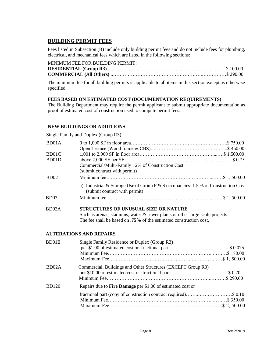# **BUILDING PERMIT FEES**

Fees listed in Subsection (B) include only building permit fees and do not include fees for plumbing, electrical, and mechanical fees which are listed in the following sections:

| MINIMUM FEE FOR BUILDING PERMIT: |  |
|----------------------------------|--|
|                                  |  |
|                                  |  |

The minimum fee for all building permits is applicable to all items in this section except as otherwise specified.

#### **FEES BASED ON ESTIMATED COST (DOCUMENTATION REQUIREMENTS)**

The Building Department may require the permit applicant to submit appropriate documentation as proof of estimated cost of construction used to compute permit fees.

#### **NEW BUILDINGS OR ADDITIONS**

Single Family and Duplex (Group R3)

| BD01A            |                                                                                                                                                                                                                               |
|------------------|-------------------------------------------------------------------------------------------------------------------------------------------------------------------------------------------------------------------------------|
|                  |                                                                                                                                                                                                                               |
| BD01C            |                                                                                                                                                                                                                               |
| BD01D            |                                                                                                                                                                                                                               |
|                  | Commercial/Multi-Family: 2% of Construction Cost                                                                                                                                                                              |
|                  | (submit contract with permit)                                                                                                                                                                                                 |
| BD <sub>02</sub> |                                                                                                                                                                                                                               |
|                  | a) Industrial & Storage Use of Group $F$ & S occupancies: 1.5 % of Construction Cost<br>(submit contract with permit)                                                                                                         |
| BD <sub>03</sub> |                                                                                                                                                                                                                               |
|                  | $G$ and $G$ and $G$ and $G$ and $G$ and $G$ and $G$ and $G$ and $G$ and $G$ and $G$ and $G$ and $G$ and $G$ and $G$ and $G$ and $G$ and $G$ and $G$ and $G$ and $G$ and $G$ and $G$ and $G$ and $G$ and $G$ and $G$ and $G$ a |

#### BD03A **STRUCTURES OF UNUSUAL SIZE OR NATURE** Such as arenas, stadiums, water & sewer plants or other large-scale projects.

The fee shall be based on **.75%** of the estimated construction cost.

#### **ALTERATIONS AND REPAIRS**

| BD01E              | Single Family Residence or Duplex (Group R3)                    |  |
|--------------------|-----------------------------------------------------------------|--|
| BD <sub>02</sub> A | Commercial, Buildings and Other Structures (EXCEPT Group R3)    |  |
| <b>BD120</b>       | Repairs due to Fire Damage per \$1.00 of estimated cost or      |  |
|                    | fractional part (copy of construction contract required)\$ 0.10 |  |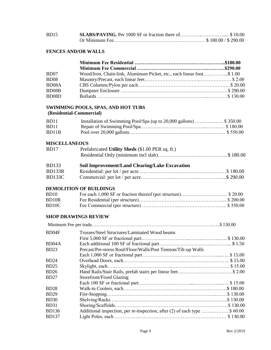| BD15 |  |
|------|--|
|      |  |

# **FENCES AND/OR WALLS**

| B <sub>D07</sub>   | Wood/Iron, Chain-link, Aluminum Picket, etc., each linear foot\$ 1.00 |  |
|--------------------|-----------------------------------------------------------------------|--|
| <b>BD08</b>        |                                                                       |  |
| BD <sub>08</sub> A |                                                                       |  |
| BD08B              |                                                                       |  |
| BD <sub>08</sub> D |                                                                       |  |

# **SWIMMING POOLS, SPAS, AND HOT TUBS**

# **(Residential-Commercial)**

| BD <sub>11</sub> | Installation of Swimming Pool/Spa (up to 20,000 gallons)  \$350.00 |  |
|------------------|--------------------------------------------------------------------|--|
| BD11             |                                                                    |  |
| BD11B            |                                                                    |  |

#### **MISCELLANEOUS**

| BD17         | Prefabricated Utility Sheds (\$1.00 PER sq. ft.) |
|--------------|--------------------------------------------------|
|              |                                                  |
| <b>BD133</b> | Soil Improvement/Land Clearing/Lake Excavation   |
| BD133R       |                                                  |
| BD133C       |                                                  |

#### **DEMOLITION OF BUILDINGS**

| BD <sub>10</sub>   |  |
|--------------------|--|
| BD <sub>10R</sub>  |  |
| BD <sub>10</sub> C |  |

# **SHOP DRAWINGS REVIEW**

| Trusses/Steel Structures/Laminated Wood beams                  |                                                                           |
|----------------------------------------------------------------|---------------------------------------------------------------------------|
|                                                                |                                                                           |
|                                                                |                                                                           |
| Precast/Pre-stress Roof/Floor/Walls/Post Tension/Tilt-up Walls |                                                                           |
|                                                                |                                                                           |
|                                                                |                                                                           |
|                                                                |                                                                           |
|                                                                |                                                                           |
| Storefront/Fixed Glazing                                       |                                                                           |
|                                                                |                                                                           |
|                                                                |                                                                           |
|                                                                |                                                                           |
|                                                                |                                                                           |
|                                                                |                                                                           |
|                                                                |                                                                           |
|                                                                |                                                                           |
|                                                                | Additional inspection, per re-inspection, after (2) of each type \$ 60.00 |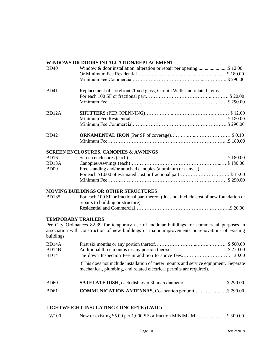# **WINDOWS OR DOORS INTALLATION/REPLACEMENT**

| <b>BD40</b>                             | Window & door installation, alteration or repair per opening\$ 12.00                                                                                                                           |
|-----------------------------------------|------------------------------------------------------------------------------------------------------------------------------------------------------------------------------------------------|
| <b>BD41</b>                             | Replacement of storefronts/fixed glass, Curtain Walls and related items.                                                                                                                       |
| BD12A                                   |                                                                                                                                                                                                |
| <b>BD42</b>                             |                                                                                                                                                                                                |
|                                         | <b>SCREEN ENCLOSURES, CANOPIES &amp; AWNINGS</b>                                                                                                                                               |
| <b>BD16</b><br>BD13A                    |                                                                                                                                                                                                |
| <b>BD09</b>                             | Free standing and/or attached canopies (aluminum or canvas)                                                                                                                                    |
|                                         |                                                                                                                                                                                                |
|                                         | <b>MOVING BUILDINGS OR OTHER STRUCTURES</b>                                                                                                                                                    |
| <b>BD135</b>                            | For each 100 SF or fractional part thereof (does not include cost of new foundation or<br>repairs to building or structure)                                                                    |
|                                         |                                                                                                                                                                                                |
| <b>TEMPORARY TRAILERS</b><br>buildings. | Per City Ordinances 82-39 for temporary use of modular buildings for commercial purposes in<br>association with construction of new buildings or major improvements or renovations of existing |
| BD14A<br>BD14B<br><b>BD14</b>           | Tie down Inspection Fee in addition to above fees130.00                                                                                                                                        |
|                                         | (This does not include installation of meter mounts and service equipment. Separate<br>mechanical, plumbing, and related electrical permits are required).                                     |
| <b>BD60</b>                             | <b>SATELATE DISH</b> , each dish over 30 inch diameter\$290.00                                                                                                                                 |
| <b>BD61</b>                             | <b>COMMUNICATION ANTENNAS, Co-location per unit\$ 290.00</b>                                                                                                                                   |

# **LIGHTWEIGHT INSULATING CONCRETE (LWIC)**

| LW100 |  | New or existing \$5.00 per 1,000 SF or fraction MINIMUM\$ 300.00 |  |
|-------|--|------------------------------------------------------------------|--|
|-------|--|------------------------------------------------------------------|--|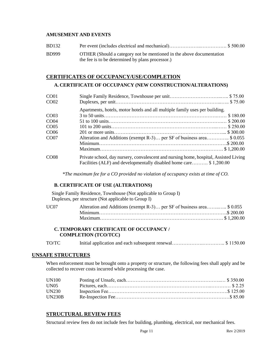#### **AMUSEMENT AND EVENTS**

| <b>BD132</b> |                                                                                                                          |
|--------------|--------------------------------------------------------------------------------------------------------------------------|
| <b>BD999</b> | OTHER (Should a category not be mentioned in the above documentation<br>the fee is to be determined by plans processor.) |

#### **CERTIFICATES OF OCCUPANCY/USE/COMPLETION**

#### **A. CERTIFICATE OF OCCUPANCY (NEW CONSTRUCTION/ALTERATIONS)**

| CO <sub>01</sub> |                                                                                                                                                             |
|------------------|-------------------------------------------------------------------------------------------------------------------------------------------------------------|
| CO <sub>02</sub> |                                                                                                                                                             |
|                  | Apartments, hotels, motor hotels and all multiple family uses per building.                                                                                 |
| CO <sub>03</sub> |                                                                                                                                                             |
| CO <sub>04</sub> |                                                                                                                                                             |
| CO <sub>05</sub> |                                                                                                                                                             |
| CO <sub>06</sub> |                                                                                                                                                             |
| CO <sub>07</sub> | Alteration and Additions (exempt R-3) per SF of business area\$ 0.055                                                                                       |
|                  |                                                                                                                                                             |
|                  |                                                                                                                                                             |
| CO <sub>08</sub> | Private school, day nursery, convalescent and nursing home, hospital, Assisted Living<br>Facilities (ALF) and developmentally disabled home care \$1,200.00 |

*\*The maximum fee for a CO provided no violation of occupancy exists at time of CO.*

#### **B. CERTIFICATE OF USE (ALTERATIONS)**

Single Family Residence, Townhouse (Not applicable to Group I) Duplexes, per structure (Not applicable to Group I)

| UC07 | Alteration and Additions (exempt R-3) per SF of business area\$ 0.055 |  |
|------|-----------------------------------------------------------------------|--|
|      |                                                                       |  |
|      |                                                                       |  |

#### **C. TEMPORARY CERTIFICATE OF OCCUPANCY / COMPLETION (TCO/TCC)**

| TO/TC |  |  |
|-------|--|--|
|-------|--|--|

#### **UNSAFE STRUCTURES**

When enforcement must be brought onto a property or structure, the following fees shall apply and be collected to recover costs incurred while processing the case.

| UN100         |  |
|---------------|--|
| <b>UN05</b>   |  |
| <b>UN230</b>  |  |
| <b>UN230B</b> |  |

#### **STRUCTURAL REVIEW FEES**

Structural review fees do not include fees for building, plumbing, electrical, nor mechanical fees.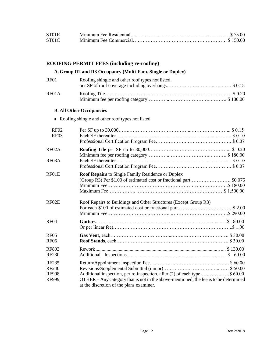| ST01R |  |
|-------|--|
| ST01C |  |

# **ROOFING PERMIT FEES (including re-roofing)**

# **A. Group R2 and R3 Occupancy (Multi-Fam. Single or Duplex)**

| $R$ F $01$ | Roofing shingle and other roof types not listed, |  |
|------------|--------------------------------------------------|--|
|            |                                                  |  |
| RF01A      |                                                  |  |
|            |                                                  |  |

# **B. All Other Occupancies**

• Roofing shingle and other roof types not listed

| <b>RF02</b><br>RF03                                   |                                                                                                                                                                                                              |
|-------------------------------------------------------|--------------------------------------------------------------------------------------------------------------------------------------------------------------------------------------------------------------|
| RF02A                                                 |                                                                                                                                                                                                              |
| RF03A                                                 |                                                                                                                                                                                                              |
| RF01E                                                 | <b>Roof Repairs to Single Family Residence or Duplex</b><br>(Group R3) Per \$1.00 of estimated cost or fractional part \$0.075                                                                               |
| RF02E                                                 | Roof Repairs to Buildings and Other Structures (Except Group R3)                                                                                                                                             |
| RF <sub>04</sub>                                      |                                                                                                                                                                                                              |
| <b>RF05</b><br><b>RF06</b>                            |                                                                                                                                                                                                              |
| <b>RF803</b><br><b>RF230</b>                          |                                                                                                                                                                                                              |
| RF235<br><b>RF240</b><br><b>RF908</b><br><b>RF999</b> | Additional inspection, per re-inspection, after (2) of each type\$ 60.00<br>OTHER – Any category that is not in the above-mentioned, the fee is to be determined<br>at the discretion of the plans examiner. |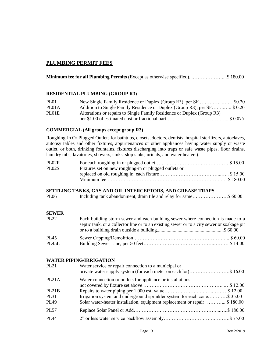# **PLUMBING PERMIT FEES**

**Minimum fee for all Plumbing Permits** (Except as otherwise specified)...………………....\$ 180.00

#### **RESIDENTIAL PLUMBING (GROUP R3)**

| PL <sub>01</sub> |                                                                          |
|------------------|--------------------------------------------------------------------------|
| PL01A            | Addition to Single Family Residence or Duplex (Group R3), per SF \$ 0.20 |
| PL01E            | Alterations or repairs to Single Family Residence or Duplex (Group R3)   |
|                  |                                                                          |

#### **COMMERCIAL (All groups except group R3)**

Roughing-In Or Plugged Outlets for bathtubs, closets, doctors, dentists, hospital sterilizers, autoclaves, autopsy tables and other fixtures, appurtenances or other appliances having water supply or waste outlet, or both, drinking fountains, fixtures discharging into traps or safe waste pipes, floor drains, laundry tubs, lavatories, showers, sinks, slop sinks, urinals, and water heaters).

| PL02R |                                                       |  |
|-------|-------------------------------------------------------|--|
| PL02S | Fixtures set on new roughing-in or plugged outlets or |  |
|       |                                                       |  |
|       |                                                       |  |

#### **SETTLING TANKS, GAS AND OIL INTERCEPTORS, AND GREASE TRAPS**

| Including tank abandonment, drain tile and relay for same\$ 60.00<br><b>PL06</b> |  |
|----------------------------------------------------------------------------------|--|
|----------------------------------------------------------------------------------|--|

#### **SEWER**

| <b>PL22</b> | Each building storm sewer and each building sewer where connection is made to a<br>septic tank, or a collector line or to an existing sewer or to a city sewer or soakage pit |
|-------------|-------------------------------------------------------------------------------------------------------------------------------------------------------------------------------|
|             |                                                                                                                                                                               |
| <b>PL45</b> |                                                                                                                                                                               |
| PL45L       |                                                                                                                                                                               |

#### **WATER PIPING/IRRIGATION**

| <b>PL21</b>        | Water service or repair connection to a municipal or<br>private water supply system (for each meter on each lot)\$ 16.00 |
|--------------------|--------------------------------------------------------------------------------------------------------------------------|
| PL21A              | Water connection or outlets for appliance or installations                                                               |
|                    |                                                                                                                          |
| PL <sub>21</sub> B |                                                                                                                          |
| <b>PL31</b>        | Irrigation system and underground sprinkler system for each zone\$ 35.00                                                 |
| PL49               | Solar water-heater installation, equipment replacement or repair  \$180.00                                               |
| <b>PL57</b>        |                                                                                                                          |
| <b>PI</b> 44       |                                                                                                                          |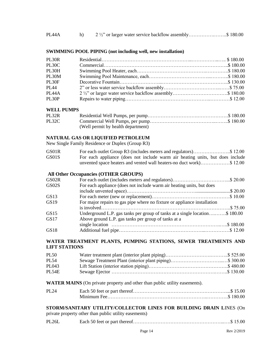| PL44A |  |  | 2 1/2" or larger water service backflow assembly\$ 180.00 |  |
|-------|--|--|-----------------------------------------------------------|--|
|-------|--|--|-----------------------------------------------------------|--|

#### **SWIMMING POOL PIPING (not including well, new installation)**

| PL <sub>30</sub> R |                                                           |  |
|--------------------|-----------------------------------------------------------|--|
| PL30C              |                                                           |  |
| PL30H              |                                                           |  |
| PL30M              |                                                           |  |
| PL30F              |                                                           |  |
| <b>PL44</b>        |                                                           |  |
| PL <sub>44</sub> A | 2 1/2" or larger water service backflow assembly\$ 180.00 |  |
| PL30P              |                                                           |  |

#### **WELL PUMPS**

| PL32R |                                    |  |
|-------|------------------------------------|--|
| PL32C |                                    |  |
|       | (Well permit by health department) |  |

#### **NATURAL GAS OR LIQUIFIED PETROLEUM**

New Single Family Residence or Duplex (Group R3)

| GS01R |                                                                               |
|-------|-------------------------------------------------------------------------------|
| GS01S | For each appliance (does not include warm air heating units, but does include |
|       | unvented space heaters and vented wall heaters-no duct work)\$12.00           |

# **All Other Occupancies (OTHER GROUPS)**

| GS02R |                                                                            |  |
|-------|----------------------------------------------------------------------------|--|
| GS02S | For each appliance (does not include warm air heating units, but does      |  |
|       |                                                                            |  |
| GS13  |                                                                            |  |
| GS19  | For major repairs to gas pipe where no fixture or appliance installation   |  |
|       |                                                                            |  |
| GS15  | Underground L.P. gas tanks per group of tanks at a single location\$180.00 |  |
| GS17  | Above ground L.P. gas tanks per group of tanks at a                        |  |
|       |                                                                            |  |
| GS18  |                                                                            |  |

#### **WATER TREATMENT PLANTS, PUMPING STATIONS, SEWER TREATMENTS AND LIFT STATIONS**

| <b>PL50</b>  |  |
|--------------|--|
| PL 54        |  |
| PL043        |  |
| <b>PL54E</b> |  |

#### **WATER MAINS** (On private property and other than public utility easements).

| <b>PL24</b> |  |
|-------------|--|
|             |  |

| STORM/SANITARY UTILITY/COLLECTOR LINES FOR BUILDING DRAIN LINES (On |  |
|---------------------------------------------------------------------|--|
| private property other than public utility easements)               |  |

| <b>PL26L</b> |  |  |  |
|--------------|--|--|--|
|--------------|--|--|--|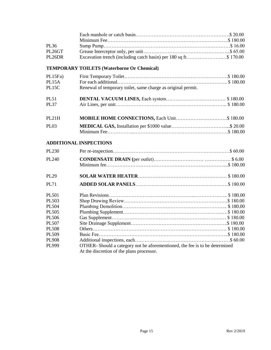| PL36<br>PL26GT<br>Excavation trench (including catch basin) per 180 sq ft\$ 170.00<br>PL26DR<br><b>TEMPORARY TOILETS (Waterborne Or Chemical)</b><br>PL15Fa)<br>PL15A<br>Renewal of temporary toilet, same charge as original permit.<br>PL15C<br><b>PL51</b><br><b>PL37</b><br>PL <sub>21</sub> H<br><b>PL03</b><br><b>ADDITIONAL INSPECTIONS</b><br>PL230<br>PL240<br><b>PL29</b><br><b>PL71</b><br><b>PL501</b><br>PL503<br>PL504<br>PL505 |                       |                                                                             |
|-----------------------------------------------------------------------------------------------------------------------------------------------------------------------------------------------------------------------------------------------------------------------------------------------------------------------------------------------------------------------------------------------------------------------------------------------|-----------------------|-----------------------------------------------------------------------------|
|                                                                                                                                                                                                                                                                                                                                                                                                                                               |                       |                                                                             |
|                                                                                                                                                                                                                                                                                                                                                                                                                                               |                       |                                                                             |
|                                                                                                                                                                                                                                                                                                                                                                                                                                               |                       |                                                                             |
|                                                                                                                                                                                                                                                                                                                                                                                                                                               |                       |                                                                             |
|                                                                                                                                                                                                                                                                                                                                                                                                                                               |                       |                                                                             |
|                                                                                                                                                                                                                                                                                                                                                                                                                                               |                       |                                                                             |
|                                                                                                                                                                                                                                                                                                                                                                                                                                               |                       |                                                                             |
|                                                                                                                                                                                                                                                                                                                                                                                                                                               |                       |                                                                             |
|                                                                                                                                                                                                                                                                                                                                                                                                                                               |                       |                                                                             |
|                                                                                                                                                                                                                                                                                                                                                                                                                                               |                       |                                                                             |
|                                                                                                                                                                                                                                                                                                                                                                                                                                               |                       |                                                                             |
|                                                                                                                                                                                                                                                                                                                                                                                                                                               |                       |                                                                             |
|                                                                                                                                                                                                                                                                                                                                                                                                                                               |                       |                                                                             |
|                                                                                                                                                                                                                                                                                                                                                                                                                                               |                       |                                                                             |
|                                                                                                                                                                                                                                                                                                                                                                                                                                               |                       |                                                                             |
|                                                                                                                                                                                                                                                                                                                                                                                                                                               |                       |                                                                             |
|                                                                                                                                                                                                                                                                                                                                                                                                                                               |                       |                                                                             |
|                                                                                                                                                                                                                                                                                                                                                                                                                                               |                       |                                                                             |
|                                                                                                                                                                                                                                                                                                                                                                                                                                               |                       |                                                                             |
|                                                                                                                                                                                                                                                                                                                                                                                                                                               |                       |                                                                             |
|                                                                                                                                                                                                                                                                                                                                                                                                                                               |                       |                                                                             |
|                                                                                                                                                                                                                                                                                                                                                                                                                                               |                       |                                                                             |
|                                                                                                                                                                                                                                                                                                                                                                                                                                               |                       |                                                                             |
|                                                                                                                                                                                                                                                                                                                                                                                                                                               |                       |                                                                             |
|                                                                                                                                                                                                                                                                                                                                                                                                                                               |                       |                                                                             |
| PL506                                                                                                                                                                                                                                                                                                                                                                                                                                         |                       |                                                                             |
| <b>PL507</b>                                                                                                                                                                                                                                                                                                                                                                                                                                  |                       |                                                                             |
| <b>PL508</b>                                                                                                                                                                                                                                                                                                                                                                                                                                  |                       |                                                                             |
|                                                                                                                                                                                                                                                                                                                                                                                                                                               |                       |                                                                             |
|                                                                                                                                                                                                                                                                                                                                                                                                                                               |                       |                                                                             |
|                                                                                                                                                                                                                                                                                                                                                                                                                                               | PL509                 |                                                                             |
| At the discretion of the plans processor.                                                                                                                                                                                                                                                                                                                                                                                                     | <b>PL908</b><br>PL999 | OTHER- Should a category not be aforementioned, the fee is to be determined |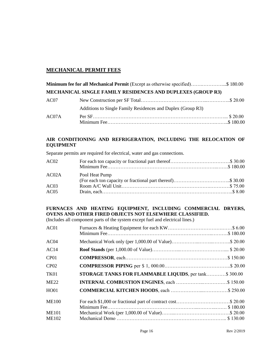# **MECHANICAL PERMIT FEES**

|       | Minimum fee for all Mechanical Permit (Except as otherwise specified)\$ 180.00 |  |
|-------|--------------------------------------------------------------------------------|--|
|       | MECHANICAL SINGLE FAMILY RESIDENCES AND DUPLEXES (GROUP R3)                    |  |
| AC07  |                                                                                |  |
|       | Additions to Single Family Residences and Duplex (Group R3)                    |  |
| AC07A |                                                                                |  |

# **AIR CONDITIONING AND REFRIGERATION, INCLUDING THE RELOCATION OF EQUIPMENT**

Separate permits are required for electrical, water and gas connections.

| AC02  |                                                            |  |
|-------|------------------------------------------------------------|--|
|       |                                                            |  |
| AC02A | Pool Heat Pump                                             |  |
|       | (For each ton capacity or fractional part thereof)\$ 30.00 |  |
| AC03  |                                                            |  |
| AC05  |                                                            |  |

# **FURNACES AND HEATING EQUIPMENT, INCLUDING COMMERCIAL DRYERS, OVENS AND OTHER FIRED OBJECTS NOT ELSEWHERE CLASSIFIED.**

(Includes all component parts of the system except fuel and electrical lines.)

| AC01             |                                                        |  |
|------------------|--------------------------------------------------------|--|
| AC <sub>04</sub> |                                                        |  |
| AC14             |                                                        |  |
| CP <sub>01</sub> |                                                        |  |
| CP02             |                                                        |  |
| TK01             | STORAGE TANKS FOR FLAMMABLE LIQUIDS, per tank \$300.00 |  |
| <b>ME22</b>      |                                                        |  |
| HO01             |                                                        |  |
| <b>ME100</b>     |                                                        |  |
|                  |                                                        |  |
| <b>ME101</b>     |                                                        |  |
| <b>ME102</b>     |                                                        |  |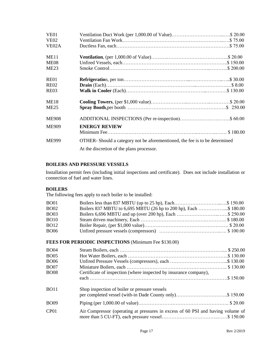| VE <sub>01</sub>   |                                                                                                                         |
|--------------------|-------------------------------------------------------------------------------------------------------------------------|
| <b>VE02</b>        |                                                                                                                         |
| VE <sub>02</sub> A |                                                                                                                         |
| ME11               |                                                                                                                         |
| ME <sub>08</sub>   |                                                                                                                         |
| ME23               |                                                                                                                         |
| <b>RE01</b>        |                                                                                                                         |
| <b>RE02</b>        |                                                                                                                         |
| <b>RE03</b>        |                                                                                                                         |
| <b>ME18</b>        |                                                                                                                         |
| ME25               |                                                                                                                         |
| <b>ME908</b>       |                                                                                                                         |
| <b>ME909</b>       | <b>ENERGY REVIEW</b>                                                                                                    |
| <b>ME999</b>       | OTHER-Should a category not be aforementioned, the fee is to be determined<br>At the discretion of the plans processor. |

#### **BOILERS AND PRESSURE VESSELS**

Installation permit fees (including initial inspections and certificate). Does not include installation or connection of fuel and water lines.

#### **BOILERS**

The following fees apply to each boiler to be installed:

| <b>BO01</b> |                                                                  |  |
|-------------|------------------------------------------------------------------|--|
| <b>BO02</b> | Boilers 837 MBTU to 6,695 MBTU (26 hp to 200 hp), Each \$ 180.00 |  |
| <b>BO03</b> | Boilers 6,696 MBTU and up (over 200 hp), Each \$ 250.00          |  |
| <b>BO10</b> |                                                                  |  |
| <b>BO12</b> |                                                                  |  |
| <b>BO06</b> |                                                                  |  |

# **FEES FOR PERIODIC INSPECTIONS** (Minimum Fee \$130.00)

| <b>BO04</b>      |                                                                                 |
|------------------|---------------------------------------------------------------------------------|
| <b>BO05</b>      |                                                                                 |
| <b>BO06</b>      |                                                                                 |
| <b>BO07</b>      |                                                                                 |
| <b>BO08</b>      | Certificate of inspection (where inspected by insurance company),               |
|                  |                                                                                 |
| <b>BO11</b>      | Shop inspection of boiler or pressure vessels                                   |
|                  | per completed vessel (with-in Dade County only)\$ 150.00                        |
| <b>BO09</b>      |                                                                                 |
| CP <sub>01</sub> | Air Compressor (operating at pressures in excess of 60 PSI and having volume of |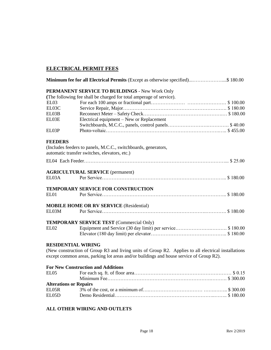# **ELECTRICAL PERMIT FEES**

|                               | Minimum fee for all Electrical Permits (Except as otherwise specified)\$ 180.00                     |
|-------------------------------|-----------------------------------------------------------------------------------------------------|
|                               | PERMANENT SERVICE TO BUILDINGS - New Work Only                                                      |
|                               | (The following fee shall be charged for total amperage of service).                                 |
| EL03                          |                                                                                                     |
| EL03C                         |                                                                                                     |
| EL03B                         |                                                                                                     |
| EL03E                         | Electrical equipment – New or Replacement                                                           |
|                               |                                                                                                     |
| EL03P                         |                                                                                                     |
| <b>FEEDERS</b>                |                                                                                                     |
|                               | (Includes feeders to panels, M.C.C., switchboards, generators,                                      |
|                               | automatic transfer switches, elevators, etc.)                                                       |
|                               |                                                                                                     |
|                               | <b>AGRICULTURAL SERVICE</b> (permanent)                                                             |
| EL03A                         |                                                                                                     |
|                               | TEMPORARY SERVICE FOR CONSTRUCTION                                                                  |
| EL01                          |                                                                                                     |
|                               | <b>MOBILE HOME OR RV SERVICE (Residential)</b>                                                      |
| EL03M                         |                                                                                                     |
|                               | <b>TEMPORARY SERVICE TEST (Commercial Only)</b>                                                     |
| <b>EL02</b>                   |                                                                                                     |
| <b>RESIDENTIAL WIRING</b>     |                                                                                                     |
|                               | (New construction of Group R3 and living units of Group R2. Applies to all electrical installations |
|                               | except common areas, parking lot areas and/or buildings and house service of Group R2).             |
|                               | <b>For New Construction and Additions</b>                                                           |
| EL <sub>05</sub>              |                                                                                                     |
|                               |                                                                                                     |
| <b>Alterations or Repairs</b> |                                                                                                     |
| EL05R                         |                                                                                                     |
| EL05D                         |                                                                                                     |

# **ALL OTHER WIRING AND OUTLETS**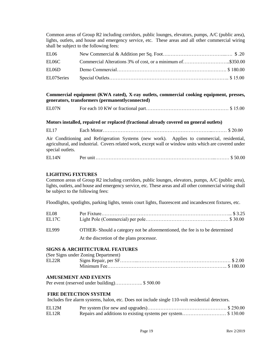Common areas of Group R2 including corridors, public lounges, elevators, pumps, A/C (public area), lights, outlets, and house and emergency service, etc. These areas and all other commercial wiring shall be subject to the following fees:

| EL06       |  |
|------------|--|
| EL06C      |  |
| EL06D      |  |
| EL07Series |  |

#### **Commercial equipment (KWA rated), X-ray outlets, commercial cooking equipment, presses, generators, transformers (permanentlyconnected)**

| EL07N |
|-------|
|-------|

#### **Motors installed, repaired or replaced (fractional already covered on general outlets)**

EL17 Each Motor…………………………………………………………..……… \$ 20.00

Air Conditioning and Refrigeration Systems (new work). Applies to commercial, residential, agricultural, and industrial. Covers related work, except wall or window units which are covered under special outlets.

| EL14N<br><u>, amithelic and a support of the set of the set of the set of the set of the set of the set of the set of the s</u> |
|---------------------------------------------------------------------------------------------------------------------------------|
|---------------------------------------------------------------------------------------------------------------------------------|

#### **LIGHTING FIXTURES**

Common areas of Group R2 including corridors, public lounges, elevators, pumps, A/C (public area), lights, outlets, and house and emergency service, etc. These areas and all other commercial wiring shall be subject to the following fees:

Floodlights, spotlights, parking lights, tennis court lights, fluorescent and incandescent fixtures, etc.

| EI 08<br>EL17C |                                                                            |
|----------------|----------------------------------------------------------------------------|
| <b>EL999</b>   | OTHER-Should a category not be aforementioned, the fee is to be determined |
|                | At the discretion of the plans processor.                                  |

#### **SIGNS & ARCHITECTURAL FEATURES**

| (See Signs under Zoning Department) |  |
|-------------------------------------|--|
|                                     |  |
|                                     |  |

#### **AMUSEMENT AND EVENTS**

Per event (reserved under building)…………….. \$ 500.00

#### **FIRE DETECTION SYSTEM**

Includes fire alarm systems, halon, etc. Does not include single 110-volt residential detectors.

| EL12M |  |
|-------|--|
| EL12R |  |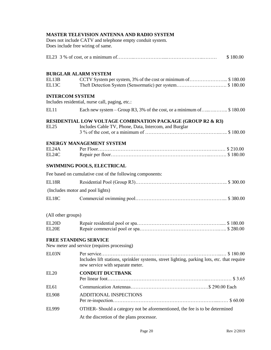|                              | <b>MASTER TELEVISION ANTENNA AND RADIO SYSTEM</b><br>Does not include CATV and telephone empty conduit system.<br>Does include free wiring of same. |
|------------------------------|-----------------------------------------------------------------------------------------------------------------------------------------------------|
|                              | \$180.00                                                                                                                                            |
|                              | <b>BURGLAR ALARM SYSTEM</b>                                                                                                                         |
| EL13B<br>EL13C               | CCTV System per system, 3% of the cost or minimum of\$180.00<br>Theft Detection System (Sensormatic) per system\$180.00                             |
| <b>INTERCOM SYSTEM</b>       | Includes residential, nurse call, paging, etc.:                                                                                                     |
| EL <sub>11</sub>             | Each new system – Group R3, 3% of the cost, or a minimum of  \$180.00                                                                               |
| EL25                         | <b>RESIDENTIAL LOW VOLTAGE COMBINATION PACKAGE (GROUP R2 &amp; R3)</b><br>Includes Cable TV, Phone, Data, Intercom, and Burglar                     |
|                              | <b>ENERGY MANAGEMENT SYSTEM</b>                                                                                                                     |
| EL24A<br>EL24C               |                                                                                                                                                     |
|                              | <b>SWIMMING POOLS, ELECTRICAL</b>                                                                                                                   |
|                              | Fee based on cumulative cost of the following components:                                                                                           |
| EL18R                        |                                                                                                                                                     |
|                              | (Includes motor and pool lights)                                                                                                                    |
| EL18C                        |                                                                                                                                                     |
| (All other groups)           |                                                                                                                                                     |
| EL20D<br>EL20E               |                                                                                                                                                     |
| <b>FREE STANDING SERVICE</b> | New meter and service (requires processing)                                                                                                         |
| EL03N                        | Includes lift stations, sprinkler systems, street lighting, parking lots, etc. that require<br>new service with separate meter.                     |
| <b>EL20</b>                  | <b>CONDUIT DUCTBANK</b>                                                                                                                             |
| EL <sub>61</sub>             |                                                                                                                                                     |
| <b>EL908</b>                 | ADDITIONAL INSPECTIONS                                                                                                                              |
| <b>EL999</b>                 | OTHER- Should a category not be aforementioned, the fee is to be determined                                                                         |
|                              | At the discretion of the plans processor.                                                                                                           |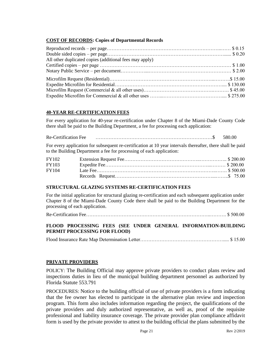# **COST OF RECORDS: Copies of Departmental Records**

| All other duplicated copies (additional fees may apply) |  |
|---------------------------------------------------------|--|
|                                                         |  |
|                                                         |  |
|                                                         |  |
|                                                         |  |
|                                                         |  |
|                                                         |  |

#### **40-YEAR RE-CERTIFICATION FEES**

For every application for 40-year re-certification under Chapter 8 of the Miami-Dade County Code there shall be paid to the Building Department, a fee for processing each application:

| Re-Certification Fee |  |  |  |  |  |  |  |  |  |  |  | 580.00 |  |  |
|----------------------|--|--|--|--|--|--|--|--|--|--|--|--------|--|--|
|                      |  |  |  |  |  |  |  |  |  |  |  |        |  |  |

For every application for subsequent re-certification at 10 year intervals thereafter, there shall be paid to the Building Department a fee for processing of each application:

| <b>FY102</b> |  |
|--------------|--|
| <b>FY103</b> |  |
| FY104        |  |
|              |  |

#### **STRUCTURAL GLAZING SYSTEMS RE-CERTIFICATION FEES**

For the initial application for structural glazing re-certification and each subsequent application under Chapter 8 of the Miami-Dade County Code there shall be paid to the Building Department for the processing of each application.

Re-Certification Fee…………………………………………………………………..………. \$ 500.00

# **FLOOD PROCESSING FEES (SEE UNDER GENERAL INFORMATION-BUILDING PERMIT PROCESSING FOR FLOOD)**

Flood Insurance Rate Map Determination Letter……………………………………………..... \$ 15.00

#### **PRIVATE PROVIDERS**

POLICY: The Building Official may approve private providers to conduct plans review and inspections duties in lieu of the municipal building department personnel as authorized by Florida Statute 553.791

PROCEDURES: Notice to the building official of use of private providers is a form indicating that the fee owner has elected to participate in the alternative plan review and inspection program. This form also includes information regarding the project, the qualifications of the private providers and duly authorized representative, as well as, proof of the requisite professional and liability insurance coverage. The private provider plan compliance affidavit form is used by the private provider to attest to the building official the plans submitted by the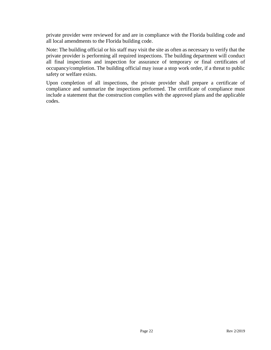private provider were reviewed for and are in compliance with the Florida building code and all local amendments to the Florida building code.

Note: The building official or his staff may visit the site as often as necessary to verify that the private provider is performing all required inspections. The building department will conduct all final inspections and inspection for assurance of temporary or final certificates of occupancy/completion. The building official may issue a stop work order, if a threat to public safety or welfare exists.

Upon completion of all inspections, the private provider shall prepare a certificate of compliance and summarize the inspections performed. The certificate of compliance must include a statement that the construction complies with the approved plans and the applicable codes.